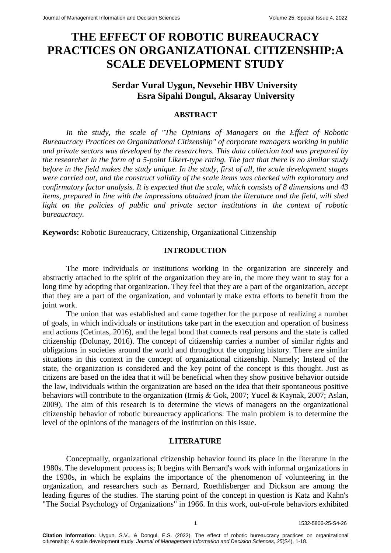# **THE EFFECT OF ROBOTIC BUREAUCRACY PRACTICES ON ORGANIZATIONAL CITIZENSHIP:A SCALE DEVELOPMENT STUDY**

## **Serdar Vural Uygun, Nevsehir HBV University Esra Sipahi Dongul, Aksaray University**

### **ABSTRACT**

*In the study, the scale of "The Opinions of Managers on the Effect of Robotic Bureaucracy Practices on Organizational Citizenship" of corporate managers working in public and private sectors was developed by the researchers. This data collection tool was prepared by the researcher in the form of a 5-point Likert-type rating. The fact that there is no similar study before in the field makes the study unique. In the study, first of all, the scale development stages were carried out, and the construct validity of the scale items was checked with exploratory and confirmatory factor analysis. It is expected that the scale, which consists of 8 dimensions and 43 items, prepared in line with the impressions obtained from the literature and the field, will shed light on the policies of public and private sector institutions in the context of robotic bureaucracy.*

**Keywords:** Robotic Bureaucracy, Citizenship, Organizational Citizenship

#### **INTRODUCTION**

The more individuals or institutions working in the organization are sincerely and abstractly attached to the spirit of the organization they are in, the more they want to stay for a long time by adopting that organization. They feel that they are a part of the organization, accept that they are a part of the organization, and voluntarily make extra efforts to benefit from the joint work.

The union that was established and came together for the purpose of realizing a number of goals, in which individuals or institutions take part in the execution and operation of business and actions (Cetintas, 2016), and the legal bond that connects real persons and the state is called citizenship (Dolunay, 2016). The concept of citizenship carries a number of similar rights and obligations in societies around the world and throughout the ongoing history. There are similar situations in this context in the concept of organizational citizenship. Namely; Instead of the state, the organization is considered and the key point of the concept is this thought. Just as citizens are based on the idea that it will be beneficial when they show positive behavior outside the law, individuals within the organization are based on the idea that their spontaneous positive behaviors will contribute to the organization (Irmiş & Gok, 2007; Yucel & Kaynak, 2007; Aslan, 2009). The aim of this research is to determine the views of managers on the organizational citizenship behavior of robotic bureaucracy applications. The main problem is to determine the level of the opinions of the managers of the institution on this issue.

#### **LITERATURE**

Conceptually, organizational citizenship behavior found its place in the literature in the 1980s. The development process is; It begins with Bernard's work with informal organizations in the 1930s, in which he explains the importance of the phenomenon of volunteering in the organization, and researchers such as Bernard, Roethlisberger and Dickson are among the leading figures of the studies. The starting point of the concept in question is Katz and Kahn's "The Social Psychology of Organizations" in 1966. In this work, out-of-role behaviors exhibited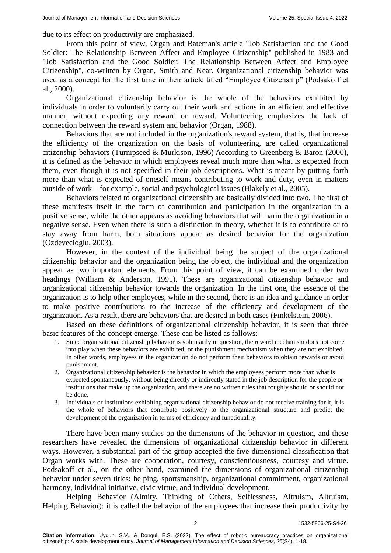due to its effect on productivity are emphasized.

From this point of view, Organ and Bateman's article "Job Satisfaction and the Good Soldier: The Relationship Between Affect and Employee Citizenship" published in 1983 and "Job Satisfaction and the Good Soldier: The Relationship Between Affect and Employee Citizenship", co-written by Organ, Smith and Near. Organizational citizenship behavior was used as a concept for the first time in their article titled "Employee Citizenship" (Podsakoff et al., 2000).

Organizational citizenship behavior is the whole of the behaviors exhibited by individuals in order to voluntarily carry out their work and actions in an efficient and effective manner, without expecting any reward or reward. Volunteering emphasizes the lack of connection between the reward system and behavior (Organ, 1988).

Behaviors that are not included in the organization's reward system, that is, that increase the efficiency of the organization on the basis of volunteering, are called organizational citizenship behaviors (Turnipseed & Murkison, 1996) According to Greenberg & Baron (2000), it is defined as the behavior in which employees reveal much more than what is expected from them, even though it is not specified in their job descriptions. What is meant by putting forth more than what is expected of oneself means contributing to work and duty, even in matters outside of work – for example, social and psychological issues (Blakely et al., 2005).

Behaviors related to organizational citizenship are basically divided into two. The first of these manifests itself in the form of contribution and participation in the organization in a positive sense, while the other appears as avoiding behaviors that will harm the organization in a negative sense. Even when there is such a distinction in theory, whether it is to contribute or to stay away from harm, both situations appear as desired behavior for the organization (Ozdevecioglu, 2003).

However, in the context of the individual being the subject of the organizational citizenship behavior and the organization being the object, the individual and the organization appear as two important elements. From this point of view, it can be examined under two headings (William & Anderson, 1991). These are organizational citizenship behavior and organizational citizenship behavior towards the organization. In the first one, the essence of the organization is to help other employees, while in the second, there is an idea and guidance in order to make positive contributions to the increase of the efficiency and development of the organization. As a result, there are behaviors that are desired in both cases (Finkelstein, 2006).

Based on these definitions of organizational citizenship behavior, it is seen that three basic features of the concept emerge. These can be listed as follows:

- 1. Since organizational citizenship behavior is voluntarily in question, the reward mechanism does not come into play when these behaviors are exhibited, or the punishment mechanism when they are not exhibited. In other words, employees in the organization do not perform their behaviors to obtain rewards or avoid punishment.
- 2. Organizational citizenship behavior is the behavior in which the employees perform more than what is expected spontaneously, without being directly or indirectly stated in the job description for the people or institutions that make up the organization, and there are no written rules that roughly should or should not be done.
- 3. Individuals or institutions exhibiting organizational citizenship behavior do not receive training for it, it is the whole of behaviors that contribute positively to the organizational structure and predict the development of the organization in terms of efficiency and functionality.

There have been many studies on the dimensions of the behavior in question, and these researchers have revealed the dimensions of organizational citizenship behavior in different ways. However, a substantial part of the group accepted the five-dimensional classification that Organ works with. These are cooperation, courtesy, conscientiousness, courtesy and virtue. Podsakoff et al., on the other hand, examined the dimensions of organizational citizenship behavior under seven titles: helping, sportsmanship, organizational commitment, organizational harmony, individual initiative, civic virtue, and individual development.

Helping Behavior (Almity, Thinking of Others, Selflessness, Altruism, Altruism, Helping Behavior): it is called the behavior of the employees that increase their productivity by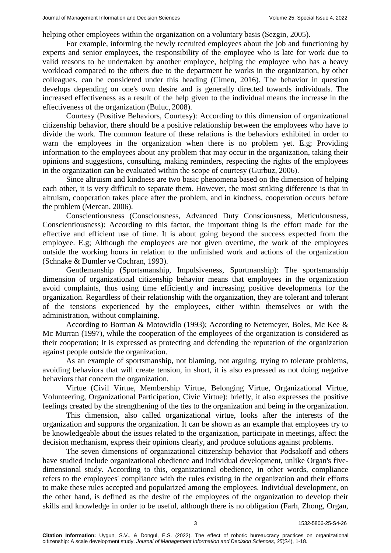helping other employees within the organization on a voluntary basis (Sezgin, 2005).

For example, informing the newly recruited employees about the job and functioning by experts and senior employees, the responsibility of the employee who is late for work due to valid reasons to be undertaken by another employee, helping the employee who has a heavy workload compared to the others due to the department he works in the organization, by other colleagues. can be considered under this heading (Cimen, 2016). The behavior in question develops depending on one's own desire and is generally directed towards individuals. The increased effectiveness as a result of the help given to the individual means the increase in the effectiveness of the organization (Buluc, 2008).

Courtesy (Positive Behaviors, Courtesy): According to this dimension of organizational citizenship behavior, there should be a positive relationship between the employees who have to divide the work. The common feature of these relations is the behaviors exhibited in order to warn the employees in the organization when there is no problem yet. E.g; Providing information to the employees about any problem that may occur in the organization, taking their opinions and suggestions, consulting, making reminders, respecting the rights of the employees in the organization can be evaluated within the scope of courtesy (Gurbuz, 2006).

Since altruism and kindness are two basic phenomena based on the dimension of helping each other, it is very difficult to separate them. However, the most striking difference is that in altruism, cooperation takes place after the problem, and in kindness, cooperation occurs before the problem (Mercan, 2006).

Conscientiousness (Consciousness, Advanced Duty Consciousness, Meticulousness, Conscientiousness): According to this factor, the important thing is the effort made for the effective and efficient use of time. It is about going beyond the success expected from the employee. E.g; Although the employees are not given overtime, the work of the employees outside the working hours in relation to the unfinished work and actions of the organization (Schnake & Dumler ve Cochran, 1993).

Gentlemanship (Sportsmanship, Impulsiveness, Sportmanship): The sportsmanship dimension of organizational citizenship behavior means that employees in the organization avoid complaints, thus using time efficiently and increasing positive developments for the organization. Regardless of their relationship with the organization, they are tolerant and tolerant of the tensions experienced by the employees, either within themselves or with the administration, without complaining.

According to Borman & Motowidlo (1993); According to Netemeyer, Boles, Mc Kee & Mc Murran (1997), while the cooperation of the employees of the organization is considered as their cooperation; It is expressed as protecting and defending the reputation of the organization against people outside the organization.

As an example of sportsmanship, not blaming, not arguing, trying to tolerate problems, avoiding behaviors that will create tension, in short, it is also expressed as not doing negative behaviors that concern the organization.

Virtue (Civil Virtue, Membership Virtue, Belonging Virtue, Organizational Virtue, Volunteering, Organizational Participation, Civic Virtue): briefly, it also expresses the positive feelings created by the strengthening of the ties to the organization and being in the organization.

This dimension, also called organizational virtue, looks after the interests of the organization and supports the organization. It can be shown as an example that employees try to be knowledgeable about the issues related to the organization, participate in meetings, affect the decision mechanism, express their opinions clearly, and produce solutions against problems.

The seven dimensions of organizational citizenship behavior that Podsakoff and others have studied include organizational obedience and individual development, unlike Organ's fivedimensional study. According to this, organizational obedience, in other words, compliance refers to the employees' compliance with the rules existing in the organization and their efforts to make these rules accepted and popularized among the employees. Individual development, on the other hand, is defined as the desire of the employees of the organization to develop their skills and knowledge in order to be useful, although there is no obligation (Farh, Zhong, Organ,

3 1532-5806-25-S4-26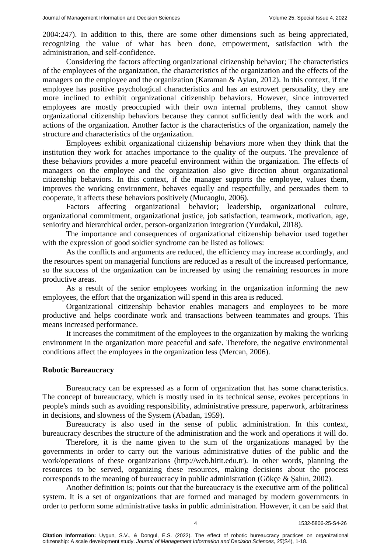2004:247). In addition to this, there are some other dimensions such as being appreciated, recognizing the value of what has been done, empowerment, satisfaction with the administration, and self-confidence.

Considering the factors affecting organizational citizenship behavior; The characteristics of the employees of the organization, the characteristics of the organization and the effects of the managers on the employee and the organization (Karaman & Aylan, 2012). In this context, if the employee has positive psychological characteristics and has an extrovert personality, they are more inclined to exhibit organizational citizenship behaviors. However, since introverted employees are mostly preoccupied with their own internal problems, they cannot show organizational citizenship behaviors because they cannot sufficiently deal with the work and actions of the organization. Another factor is the characteristics of the organization, namely the structure and characteristics of the organization.

Employees exhibit organizational citizenship behaviors more when they think that the institution they work for attaches importance to the quality of the outputs. The prevalence of these behaviors provides a more peaceful environment within the organization. The effects of managers on the employee and the organization also give direction about organizational citizenship behaviors. In this context, if the manager supports the employee, values them, improves the working environment, behaves equally and respectfully, and persuades them to cooperate, it affects these behaviors positively (Mucaoglu, 2006).

Factors affecting organizational behavior; leadership, organizational culture, organizational commitment, organizational justice, job satisfaction, teamwork, motivation, age, seniority and hierarchical order, person-organization integration (Yurdakul, 2018).

The importance and consequences of organizational citizenship behavior used together with the expression of good soldier syndrome can be listed as follows:

As the conflicts and arguments are reduced, the efficiency may increase accordingly, and the resources spent on managerial functions are reduced as a result of the increased performance, so the success of the organization can be increased by using the remaining resources in more productive areas.

As a result of the senior employees working in the organization informing the new employees, the effort that the organization will spend in this area is reduced.

Organizational citizenship behavior enables managers and employees to be more productive and helps coordinate work and transactions between teammates and groups. This means increased performance.

It increases the commitment of the employees to the organization by making the working environment in the organization more peaceful and safe. Therefore, the negative environmental conditions affect the employees in the organization less (Mercan, 2006).

#### **Robotic Bureaucracy**

Bureaucracy can be expressed as a form of organization that has some characteristics. The concept of bureaucracy, which is mostly used in its technical sense, evokes perceptions in people's minds such as avoiding responsibility, administrative pressure, paperwork, arbitrariness in decisions, and slowness of the System (Abadan, 1959).

Bureaucracy is also used in the sense of public administration. In this context, bureaucracy describes the structure of the administration and the work and operations it will do.

Therefore, it is the name given to the sum of the organizations managed by the governments in order to carry out the various administrative duties of the public and the work/operations of these organizations [\(http://web.hitit.edu.tr\)](http://web.hitit.edu.tr/). In other words, planning the resources to be served, organizing these resources, making decisions about the process corresponds to the meaning of bureaucracy in public administration (Gökçe & Şahin, 2002).

Another definition is; points out that the bureaucracy is the executive arm of the political system. It is a set of organizations that are formed and managed by modern governments in order to perform some administrative tasks in public administration. However, it can be said that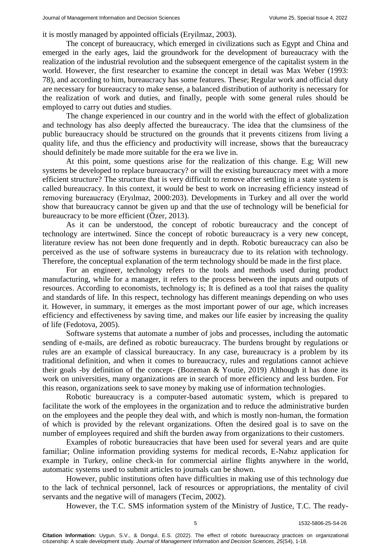it is mostly managed by appointed officials (Eryilmaz, 2003).

The concept of bureaucracy, which emerged in civilizations such as Egypt and China and emerged in the early ages, laid the groundwork for the development of bureaucracy with the realization of the industrial revolution and the subsequent emergence of the capitalist system in the world. However, the first researcher to examine the concept in detail was Max Weber (1993: 78), and according to him, bureaucracy has some features. These; Regular work and official duty are necessary for bureaucracy to make sense, a balanced distribution of authority is necessary for the realization of work and duties, and finally, people with some general rules should be employed to carry out duties and studies.

The change experienced in our country and in the world with the effect of globalization and technology has also deeply affected the bureaucracy. The idea that the clumsiness of the public bureaucracy should be structured on the grounds that it prevents citizens from living a quality life, and thus the efficiency and productivity will increase, shows that the bureaucracy should definitely be made more suitable for the era we live in.

At this point, some questions arise for the realization of this change. E.g; Will new systems be developed to replace bureaucracy? or will the existing bureaucracy meet with a more efficient structure? The structure that is very difficult to remove after settling in a state system is called bureaucracy. In this context, it would be best to work on increasing efficiency instead of removing bureaucracy (Eryılmaz, 2000:203). Developments in Turkey and all over the world show that bureaucracy cannot be given up and that the use of technology will be beneficial for bureaucracy to be more efficient (Özer, 2013).

As it can be understood, the concept of robotic bureaucracy and the concept of technology are intertwined. Since the concept of robotic bureaucracy is a very new concept, literature review has not been done frequently and in depth. Robotic bureaucracy can also be perceived as the use of software systems in bureaucracy due to its relation with technology. Therefore, the conceptual explanation of the term technology should be made in the first place.

For an engineer, technology refers to the tools and methods used during product manufacturing, while for a manager, it refers to the process between the inputs and outputs of resources. According to economists, technology is; It is defined as a tool that raises the quality and standards of life. In this respect, technology has different meanings depending on who uses it. However, in summary, it emerges as the most important power of our age, which increases efficiency and effectiveness by saving time, and makes our life easier by increasing the quality of life (Fedotova, 2005).

Software systems that automate a number of jobs and processes, including the automatic sending of e-mails, are defined as robotic bureaucracy. The burdens brought by regulations or rules are an example of classical bureaucracy. In any case, bureaucracy is a problem by its traditional definition, and when it comes to bureaucracy, rules and regulations cannot achieve their goals -by definition of the concept- (Bozeman & Youtie, 2019) Although it has done its work on universities, many organizations are in search of more efficiency and less burden. For this reason, organizations seek to save money by making use of information technologies.

Robotic bureaucracy is a computer-based automatic system, which is prepared to facilitate the work of the employees in the organization and to reduce the administrative burden on the employees and the people they deal with, and which is mostly non-human, the formation of which is provided by the relevant organizations. Often the desired goal is to save on the number of employees required and shift the burden away from organizations to their customers.

Examples of robotic bureaucracies that have been used for several years and are quite familiar; Online information providing systems for medical records, E-Nabız application for example in Turkey, online check-in for commercial airline flights anywhere in the world, automatic systems used to submit articles to journals can be shown.

However, public institutions often have difficulties in making use of this technology due to the lack of technical personnel, lack of resources or appropriations, the mentality of civil servants and the negative will of managers (Tecim, 2002).

However, the T.C. SMS information system of the Ministry of Justice, T.C. The ready-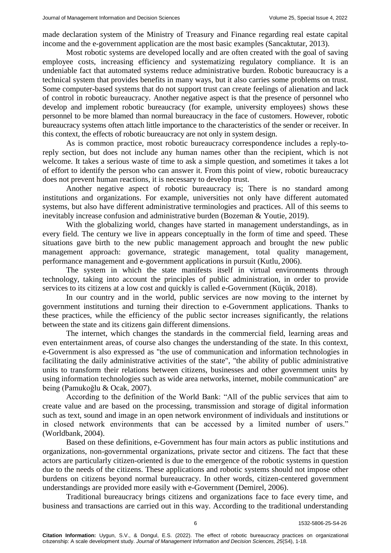made declaration system of the Ministry of Treasury and Finance regarding real estate capital income and the e-government application are the most basic examples (Sancaktutar, 2013).

Most robotic systems are developed locally and are often created with the goal of saving employee costs, increasing efficiency and systematizing regulatory compliance. It is an undeniable fact that automated systems reduce administrative burden. Robotic bureaucracy is a technical system that provides benefits in many ways, but it also carries some problems on trust. Some computer-based systems that do not support trust can create feelings of alienation and lack of control in robotic bureaucracy. Another negative aspect is that the presence of personnel who develop and implement robotic bureaucracy (for example, university employees) shows these personnel to be more blamed than normal bureaucracy in the face of customers. However, robotic bureaucracy systems often attach little importance to the characteristics of the sender or receiver. In this context, the effects of robotic bureaucracy are not only in system design.

As is common practice, most robotic bureaucracy correspondence includes a reply-toreply section, but does not include any human names other than the recipient, which is not welcome. It takes a serious waste of time to ask a simple question, and sometimes it takes a lot of effort to identify the person who can answer it. From this point of view, robotic bureaucracy does not prevent human reactions, it is necessary to develop trust.

Another negative aspect of robotic bureaucracy is; There is no standard among institutions and organizations. For example, universities not only have different automated systems, but also have different administrative terminologies and practices. All of this seems to inevitably increase confusion and administrative burden (Bozeman & Youtie, 2019).

With the globalizing world, changes have started in management understandings, as in every field. The century we live in appears conceptually in the form of time and speed. These situations gave birth to the new public management approach and brought the new public management approach: governance, strategic management, total quality management, performance management and e-government applications in pursuit (Kutlu, 2006).

The system in which the state manifests itself in virtual environments through technology, taking into account the principles of public administration, in order to provide services to its citizens at a low cost and quickly is called e-Government (Küçük, 2018).

In our country and in the world, public services are now moving to the internet by government institutions and turning their direction to e-Government applications. Thanks to these practices, while the efficiency of the public sector increases significantly, the relations between the state and its citizens gain different dimensions.

The internet, which changes the standards in the commercial field, learning areas and even entertainment areas, of course also changes the understanding of the state. In this context, e-Government is also expressed as "the use of communication and information technologies in facilitating the daily administrative activities of the state", "the ability of public administrative units to transform their relations between citizens, businesses and other government units by using information technologies such as wide area networks, internet, mobile communication" are being (Pamukoğlu & Ocak, 2007).

According to the definition of the World Bank: "All of the public services that aim to create value and are based on the processing, transmission and storage of digital information such as text, sound and image in an open network environment of individuals and institutions or in closed network environments that can be accessed by a limited number of users." (Worldbank, 2004).

Based on these definitions, e-Government has four main actors as public institutions and organizations, non-governmental organizations, private sector and citizens. The fact that these actors are particularly citizen-oriented is due to the emergence of the robotic systems in question due to the needs of the citizens. These applications and robotic systems should not impose other burdens on citizens beyond normal bureaucracy. In other words, citizen-centered government understandings are provided more easily with e-Government (Demirel, 2006).

Traditional bureaucracy brings citizens and organizations face to face every time, and business and transactions are carried out in this way. According to the traditional understanding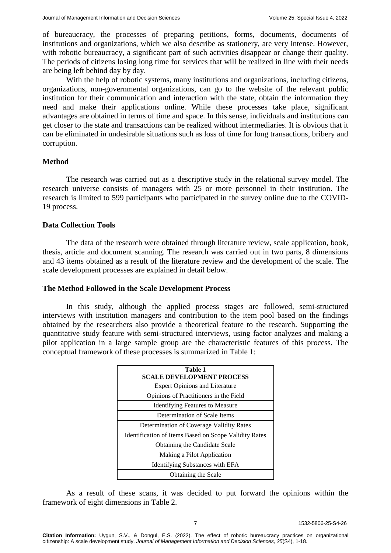of bureaucracy, the processes of preparing petitions, forms, documents, documents of institutions and organizations, which we also describe as stationery, are very intense. However, with robotic bureaucracy, a significant part of such activities disappear or change their quality. The periods of citizens losing long time for services that will be realized in line with their needs are being left behind day by day.

With the help of robotic systems, many institutions and organizations, including citizens, organizations, non-governmental organizations, can go to the website of the relevant public institution for their communication and interaction with the state, obtain the information they need and make their applications online. While these processes take place, significant advantages are obtained in terms of time and space. In this sense, individuals and institutions can get closer to the state and transactions can be realized without intermediaries. It is obvious that it can be eliminated in undesirable situations such as loss of time for long transactions, bribery and corruption.

#### **Method**

The research was carried out as a descriptive study in the relational survey model. The research universe consists of managers with 25 or more personnel in their institution. The research is limited to 599 participants who participated in the survey online due to the COVID-19 process.

#### **Data Collection Tools**

The data of the research were obtained through literature review, scale application, book, thesis, article and document scanning. The research was carried out in two parts, 8 dimensions and 43 items obtained as a result of the literature review and the development of the scale. The scale development processes are explained in detail below.

#### **The Method Followed in the Scale Development Process**

In this study, although the applied process stages are followed, semi-structured interviews with institution managers and contribution to the item pool based on the findings obtained by the researchers also provide a theoretical feature to the research. Supporting the quantitative study feature with semi-structured interviews, using factor analyzes and making a pilot application in a large sample group are the characteristic features of this process. The conceptual framework of these processes is summarized in Table 1:

| Table 1<br><b>SCALE DEVELOPMENT PROCESS</b>           |
|-------------------------------------------------------|
| <b>Expert Opinions and Literature</b>                 |
| Opinions of Practitioners in the Field                |
| <b>Identifying Features to Measure</b>                |
| Determination of Scale Items                          |
| Determination of Coverage Validity Rates              |
| Identification of Items Based on Scope Validity Rates |
| Obtaining the Candidate Scale                         |
| Making a Pilot Application                            |
| Identifying Substances with EFA                       |
| Obtaining the Scale                                   |

As a result of these scans, it was decided to put forward the opinions within the framework of eight dimensions in Table 2.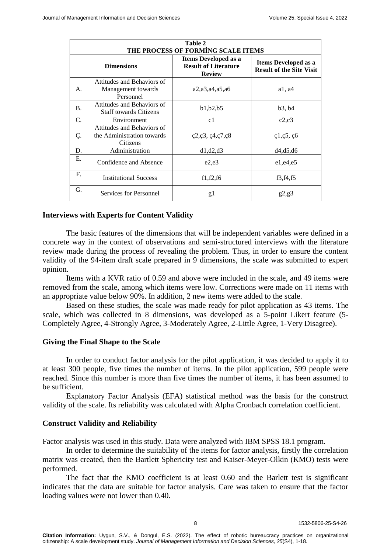| Table 2<br>THE PROCESS OF FORMING SCALE ITEMS |                                                                      |                                                                             |                                                                |  |
|-----------------------------------------------|----------------------------------------------------------------------|-----------------------------------------------------------------------------|----------------------------------------------------------------|--|
|                                               | <b>Dimensions</b>                                                    | <b>Items Developed as a</b><br><b>Result of Literature</b><br><b>Review</b> | <b>Items Developed as a</b><br><b>Result of the Site Visit</b> |  |
| А.                                            | Attitudes and Behaviors of<br>Management towards<br>Personnel        | a2, a3, a4, a5, a6                                                          | a1, a4                                                         |  |
| <b>B.</b>                                     | Attitudes and Behaviors of<br><b>Staff towards Citizens</b>          | b1, b2, b5                                                                  | b3, b4                                                         |  |
| C.                                            | Environment                                                          | c1                                                                          | c2,c3                                                          |  |
| Ç.                                            | Attitudes and Behaviors of<br>the Administration towards<br>Citizens | $\varphi$ 2, $\varphi$ 3, $\varphi$ 4, $\varphi$ 7, $\varphi$ 8             | $\c{1},\c{5},\c{6}$                                            |  |
| D.                                            | Administration                                                       | d1, d2, d3                                                                  | d4, d5, d6                                                     |  |
| Е.                                            | Confidence and Absence                                               | e2,e3                                                                       | e1, e4, e5                                                     |  |
| F.                                            | <b>Institutional Success</b>                                         | f1,f2,f6                                                                    | f3,f4,f5                                                       |  |
| G.                                            | Services for Personnel                                               | g1                                                                          | g2, g3                                                         |  |

#### **Interviews with Experts for Content Validity**

The basic features of the dimensions that will be independent variables were defined in a concrete way in the context of observations and semi-structured interviews with the literature review made during the process of revealing the problem. Thus, in order to ensure the content validity of the 94-item draft scale prepared in 9 dimensions, the scale was submitted to expert opinion.

Items with a KVR ratio of 0.59 and above were included in the scale, and 49 items were removed from the scale, among which items were low. Corrections were made on 11 items with an appropriate value below 90%. In addition, 2 new items were added to the scale.

Based on these studies, the scale was made ready for pilot application as 43 items. The scale, which was collected in 8 dimensions, was developed as a 5-point Likert feature (5- Completely Agree, 4-Strongly Agree, 3-Moderately Agree, 2-Little Agree, 1-Very Disagree).

#### **Giving the Final Shape to the Scale**

In order to conduct factor analysis for the pilot application, it was decided to apply it to at least 300 people, five times the number of items. In the pilot application, 599 people were reached. Since this number is more than five times the number of items, it has been assumed to be sufficient.

Explanatory Factor Analysis (EFA) statistical method was the basis for the construct validity of the scale. Its reliability was calculated with Alpha Cronbach correlation coefficient.

#### **Construct Validity and Reliability**

Factor analysis was used in this study. Data were analyzed with IBM SPSS 18.1 program.

In order to determine the suitability of the items for factor analysis, firstly the correlation matrix was created, then the Bartlett Sphericity test and Kaiser-Meyer-Olkin (KMO) tests were performed.

The fact that the KMO coefficient is at least 0.60 and the Barlett test is significant indicates that the data are suitable for factor analysis. Care was taken to ensure that the factor loading values were not lower than 0.40.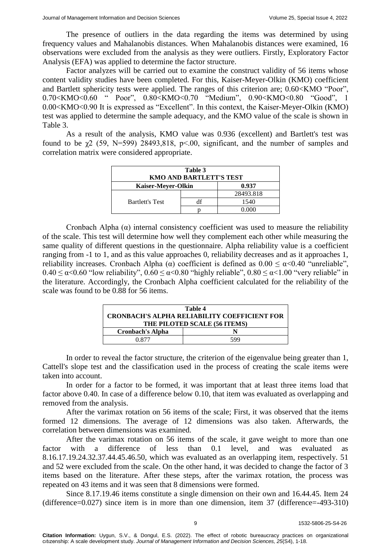The presence of outliers in the data regarding the items was determined by using frequency values and Mahalanobis distances. When Mahalanobis distances were examined, 16 observations were excluded from the analysis as they were outliers. Firstly, Exploratory Factor Analysis (EFA) was applied to determine the factor structure.

Factor analyzes will be carried out to examine the construct validity of 56 items whose content validity studies have been completed. For this, Kaiser-Meyer-Olkin (KMO) coefficient and Bartlett sphericity tests were applied. The ranges of this criterion are; 0.60<KMO "Poor", 0.70<KMO<0.60 " Poor", 0.80<KMO<0.70 "Medium", 0.90<KMO<0.80 "Good", 1 0.00<KMO<0.90 It is expressed as "Excellent". In this context, the Kaiser-Meyer-Olkin (KMO) test was applied to determine the sample adequacy, and the KMO value of the scale is shown in Table 3.

As a result of the analysis, KMO value was 0.936 (excellent) and Bartlett's test was found to be χ2 (59, N=599) 28493,818, p<.00, significant, and the number of samples and correlation matrix were considered appropriate.

| Table 3<br><b>KMO AND BARTLETT'S TEST</b> |  |           |  |  |
|-------------------------------------------|--|-----------|--|--|
| 0.937<br>Kaiser-Meyer-Olkin               |  |           |  |  |
|                                           |  | 28493.818 |  |  |
| <b>Bartlett's Test</b>                    |  | 1540      |  |  |
|                                           |  | 0 000     |  |  |

Cronbach Alpha  $(\alpha)$  internal consistency coefficient was used to measure the reliability of the scale. This test will determine how well they complement each other while measuring the same quality of different questions in the questionnaire. Alpha reliability value is a coefficient ranging from -1 to 1, and as this value approaches 0, reliability decreases and as it approaches 1, reliability increases. Cronbach Alpha (α) coefficient is defined as  $0.00 \leq \alpha < 0.40$  "unreliable",  $0.40 \le \alpha < 0.60$  "low reliability",  $0.60 \le \alpha < 0.80$  "highly reliable",  $0.80 \le \alpha < 1.00$  "very reliable" in the literature. Accordingly, the Cronbach Alpha coefficient calculated for the reliability of the scale was found to be 0.88 for 56 items.

| Table 4                                             |     |  |
|-----------------------------------------------------|-----|--|
| <b>CRONBACH'S ALPHA RELIABILITY COEFFICIENT FOR</b> |     |  |
| THE PILOTED SCALE (56 ITEMS)                        |     |  |
| <b>Cronbach's Alpha</b>                             |     |  |
| 0.877                                               | 599 |  |

In order to reveal the factor structure, the criterion of the eigenvalue being greater than 1, Cattell's slope test and the classification used in the process of creating the scale items were taken into account.

In order for a factor to be formed, it was important that at least three items load that factor above 0.40. In case of a difference below 0.10, that item was evaluated as overlapping and removed from the analysis.

After the varimax rotation on 56 items of the scale; First, it was observed that the items formed 12 dimensions. The average of 12 dimensions was also taken. Afterwards, the correlation between dimensions was examined.

After the varimax rotation on 56 items of the scale, it gave weight to more than one factor with a difference of less than 0.1 level, and was evaluated as 8.16.17.19.24.32.37.44.45.46.50, which was evaluated as an overlapping item, respectively. 51 and 52 were excluded from the scale. On the other hand, it was decided to change the factor of 3 items based on the literature. After these steps, after the varimax rotation, the process was repeated on 43 items and it was seen that 8 dimensions were formed.

Since 8.17.19.46 items constitute a single dimension on their own and 16.44.45. Item 24 (difference=0.027) since item is in more than one dimension, item 37 (difference=-493-310)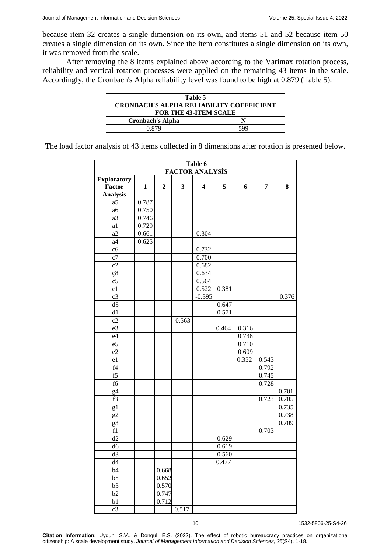because item 32 creates a single dimension on its own, and items 51 and 52 because item 50 creates a single dimension on its own. Since the item constitutes a single dimension on its own, it was removed from the scale.

After removing the 8 items explained above according to the Varimax rotation process, reliability and vertical rotation processes were applied on the remaining 43 items in the scale. Accordingly, the Cronbach's Alpha reliability level was found to be high at 0.879 (Table 5).

| Table 5<br><b>CRONBACH'S ALPHA RELIABILITY COEFFICIENT</b><br><b>FOR THE 43-ITEM SCALE</b> |     |  |  |  |
|--------------------------------------------------------------------------------------------|-----|--|--|--|
| <b>Cronbach's Alpha</b>                                                                    |     |  |  |  |
| 0.879                                                                                      | 599 |  |  |  |

The load factor analysis of 43 items collected in 8 dimensions after rotation is presented below.

| Table 6<br><b>FACTOR ANALYSIS</b> |                    |                  |       |                         |       |       |       |       |  |  |
|-----------------------------------|--------------------|------------------|-------|-------------------------|-------|-------|-------|-------|--|--|
|                                   | <b>Exploratory</b> |                  |       |                         |       |       |       |       |  |  |
| Factor                            | $\mathbf{1}$       | $\boldsymbol{2}$ | 3     | $\overline{\mathbf{4}}$ | 5     | 6     | 7     | 8     |  |  |
| <b>Analysis</b>                   |                    |                  |       |                         |       |       |       |       |  |  |
| a <sub>5</sub>                    | 0.787              |                  |       |                         |       |       |       |       |  |  |
| a6                                | 0.750              |                  |       |                         |       |       |       |       |  |  |
| a3                                | 0.746              |                  |       |                         |       |       |       |       |  |  |
| a1                                | 0.729              |                  |       |                         |       |       |       |       |  |  |
| a2                                | 0.661              |                  |       | 0.304                   |       |       |       |       |  |  |
| a4                                | 0.625              |                  |       |                         |       |       |       |       |  |  |
| c6                                |                    |                  |       | 0.732                   |       |       |       |       |  |  |
| $\overline{c7}$                   |                    |                  |       | 0.700                   |       |       |       |       |  |  |
| c2                                |                    |                  |       | 0.682                   |       |       |       |       |  |  |
|                                   |                    |                  |       | 0.634                   |       |       |       |       |  |  |
| ç8<br>$\overline{c5}$             |                    |                  |       | 0.564                   |       |       |       |       |  |  |
| c1                                |                    |                  |       | 0.522                   | 0.381 |       |       |       |  |  |
| c3                                |                    |                  |       | $-0.395$                |       |       |       | 0.376 |  |  |
| $\overline{d5}$                   |                    |                  |       |                         | 0.647 |       |       |       |  |  |
| $\overline{d1}$                   |                    |                  |       |                         |       |       |       |       |  |  |
| c2                                |                    |                  |       |                         | 0.571 |       |       |       |  |  |
|                                   |                    |                  | 0.563 |                         | 0.464 |       |       |       |  |  |
| e3<br>e4                          |                    |                  |       |                         |       | 0.316 |       |       |  |  |
| $\overline{e5}$                   |                    |                  |       |                         |       | 0.738 |       |       |  |  |
| $\overline{e2}$                   |                    |                  |       |                         |       | 0.710 |       |       |  |  |
|                                   |                    |                  |       |                         |       | 0.609 |       |       |  |  |
| e1                                |                    |                  |       |                         |       | 0.352 | 0.543 |       |  |  |
| f4<br>f5                          |                    |                  |       |                         |       |       | 0.792 |       |  |  |
|                                   |                    |                  |       |                         |       |       | 0.745 |       |  |  |
| f6                                |                    |                  |       |                         |       |       | 0.728 |       |  |  |
| g <sub>4</sub>                    |                    |                  |       |                         |       |       |       | 0.701 |  |  |
| f3                                |                    |                  |       |                         |       |       | 0.723 | 0.705 |  |  |
| g1                                |                    |                  |       |                         |       |       |       | 0.735 |  |  |
| g2                                |                    |                  |       |                         |       |       |       | 0.738 |  |  |
| g3                                |                    |                  |       |                         |       |       |       | 0.709 |  |  |
| f1                                |                    |                  |       |                         |       |       | 0.703 |       |  |  |
| d2                                |                    |                  |       |                         | 0.629 |       |       |       |  |  |
| $\overline{d6}$                   |                    |                  |       |                         | 0.619 |       |       |       |  |  |
| d3                                |                    |                  |       |                         | 0.560 |       |       |       |  |  |
| d4                                |                    |                  |       |                         | 0.477 |       |       |       |  |  |
| b4                                |                    | 0.668            |       |                         |       |       |       |       |  |  |
| $\overline{b5}$                   |                    | 0.652            |       |                         |       |       |       |       |  |  |
| $\overline{b3}$                   |                    | 0.570            |       |                         |       |       |       |       |  |  |
| $\overline{b2}$                   |                    | 0.747            |       |                         |       |       |       |       |  |  |
| b1                                |                    | 0.712            |       |                         |       |       |       |       |  |  |
| $\overline{c3}$                   |                    |                  | 0.517 |                         |       |       |       |       |  |  |

10 1532-5806-25-S4-26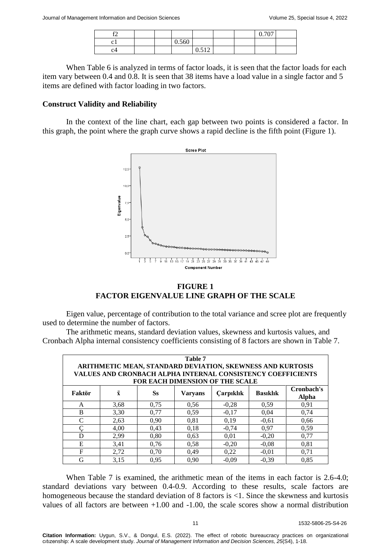| $\sim$<br>.  |  |       |                |  | 0.707<br>v. / v |  |
|--------------|--|-------|----------------|--|-----------------|--|
| ⌒            |  | 0.560 |                |  |                 |  |
| $^{\circ 4}$ |  |       | 0.512<br>0.314 |  |                 |  |

When Table 6 is analyzed in terms of factor loads, it is seen that the factor loads for each item vary between 0.4 and 0.8. It is seen that 38 items have a load value in a single factor and 5 items are defined with factor loading in two factors.

#### **Construct Validity and Reliability**

In the context of the line chart, each gap between two points is considered a factor. In this graph, the point where the graph curve shows a rapid decline is the fifth point (Figure 1).



### **FIGURE 1 FACTOR EIGENVALUE LINE GRAPH OF THE SCALE**

Eigen value, percentage of contribution to the total variance and scree plot are frequently used to determine the number of factors.

The arithmetic means, standard deviation values, skewness and kurtosis values, and Cronbach Alpha internal consistency coefficients consisting of 8 factors are shown in Table 7.

| Table 7<br>ARITHMETIC MEAN, STANDARD DEVIATION, SKEWNESS AND KURTOSIS<br><b>VALUES AND CRONBACH ALPHA INTERNAL CONSISTENCY COEFFICIENTS</b><br><b>FOR EACH DIMENSION OF THE SCALE</b> |      |      |      |         |         |      |  |  |  |
|---------------------------------------------------------------------------------------------------------------------------------------------------------------------------------------|------|------|------|---------|---------|------|--|--|--|
| Cronbach's<br>$\bar{\mathbf{x}}$<br>Ss<br><b>Basiklik</b><br>Faktör<br><b>Çarpıklık</b><br><b>Varyans</b><br><b>Alpha</b>                                                             |      |      |      |         |         |      |  |  |  |
| A                                                                                                                                                                                     | 3.68 | 0.75 | 0.56 | $-0.28$ | 0.59    | 0.91 |  |  |  |
| B                                                                                                                                                                                     | 3,30 | 0,77 | 0.59 | $-0,17$ | 0,04    | 0,74 |  |  |  |
| C                                                                                                                                                                                     | 2,63 | 0.90 | 0,81 | 0,19    | $-0.61$ | 0.66 |  |  |  |
|                                                                                                                                                                                       | 4,00 | 0,43 | 0.18 | $-0,74$ | 0.97    | 0,59 |  |  |  |
| D                                                                                                                                                                                     | 2,99 | 0,80 | 0.63 | 0.01    | $-0.20$ | 0.77 |  |  |  |
| Е                                                                                                                                                                                     | 3,41 | 0,76 | 0.58 | $-0,20$ | $-0.08$ | 0.81 |  |  |  |
| F                                                                                                                                                                                     | 2,72 | 0,70 | 0,49 | 0,22    | $-0.01$ | 0,71 |  |  |  |
| G                                                                                                                                                                                     | 3,15 | 0.95 | 0.90 | $-0.09$ | $-0.39$ | 0.85 |  |  |  |

When Table 7 is examined, the arithmetic mean of the items in each factor is 2.6-4.0; standard deviations vary between 0.4-0.9. According to these results, scale factors are homogeneous because the standard deviation of 8 factors is <1. Since the skewness and kurtosis values of all factors are between +1.00 and -1.00, the scale scores show a normal distribution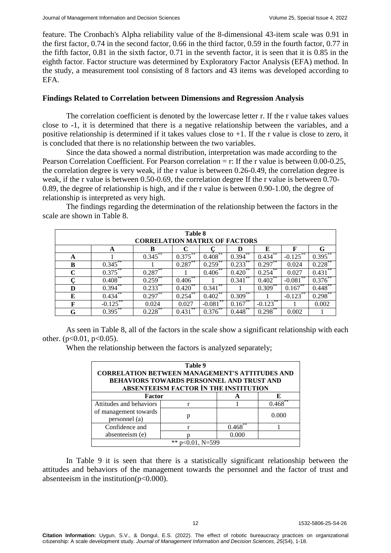feature. The Cronbach's Alpha reliability value of the 8-dimensional 43-item scale was 0.91 in the first factor, 0.74 in the second factor, 0.66 in the third factor, 0.59 in the fourth factor, 0.77 in the fifth factor, 0.81 in the sixth factor, 0.71 in the seventh factor, it is seen that it is 0.85 in the eighth factor. Factor structure was determined by Exploratory Factor Analysis (EFA) method. In the study, a measurement tool consisting of 8 factors and 43 items was developed according to EFA.

### **Findings Related to Correlation between Dimensions and Regression Analysis**

The correlation coefficient is denoted by the lowercase letter r. If the r value takes values close to -1, it is determined that there is a negative relationship between the variables, and a positive relationship is determined if it takes values close to +1. If the r value is close to zero, it is concluded that there is no relationship between the two variables.

Since the data showed a normal distribution, interpretation was made according to the Pearson Correlation Coefficient. For Pearson correlation = r: If the r value is between 0.00-0.25, the correlation degree is very weak, if the r value is between 0.26-0.49, the correlation degree is weak, if the r value is between 0.50-0.69, the correlation degree If the r value is between 0.70- 0.89, the degree of relationship is high, and if the r value is between 0.90-1.00, the degree of relationship is interpreted as very high.

| Table 8<br><b>CORRELATION MATRIX OF FACTORS</b> |            |            |             |                |             |                |                |            |
|-------------------------------------------------|------------|------------|-------------|----------------|-------------|----------------|----------------|------------|
|                                                 | A          | в          |             |                | D           | E              | F              | G          |
| A                                               |            | 0.345      | **<br>0.375 | **<br>0.408    | **<br>0.394 | **<br>0.434    | **<br>$-0.125$ | 0.395      |
| B                                               | 0.345      |            | **<br>0.287 | 0.259          | 0.233       | **<br>0.297    | 0.024          | 0.228      |
| $\mathbf C$                                     | 0.375      | 0.287      |             | $0.406$ **     | **<br>0.420 | **<br>0.254    | 0.027          | 0.431      |
|                                                 | $0.408***$ | $0.259$ ** | **<br>0.406 |                | **<br>0.341 | **<br>0.402    | **<br>$-0.081$ | $0.376***$ |
| D                                               | 0.394      | $0.233***$ | **<br>0.420 | **<br>0.341    |             | 0.309          | 0.167          | $0.448***$ |
| E                                               | 0.434      | $0.297***$ | **<br>0.254 | $0.402^{**}$   | $0.309***$  |                | **<br>$-0.123$ | $0.298***$ |
| F                                               | $-0.125$   | 0.024      | 0.027       | **<br>$-0.081$ | $0.167***$  | **<br>$-0.123$ |                | 0.002      |
| G                                               | $0.395***$ | $0.228***$ | **<br>0.431 | .**<br>0.376   | $0.448***$  | 0.298          | 0.002          |            |

The findings regarding the determination of the relationship between the factors in the scale are shown in Table 8.

As seen in Table 8, all of the factors in the scale show a significant relationship with each other.  $(p<0.01, p<0.05)$ .

When the relationship between the factors is analyzed separately;

| Table 9<br><b>CORRELATION BETWEEN MANAGEMENT'S ATTITUDES AND</b><br><b>BEHAVIORS TOWARDS PERSONNEL AND TRUST AND</b><br>ABSENTEEISM FACTOR IN THE INSTITUTION |   |       |       |  |  |  |
|---------------------------------------------------------------------------------------------------------------------------------------------------------------|---|-------|-------|--|--|--|
| Factor                                                                                                                                                        |   |       |       |  |  |  |
| Attitudes and behaviors                                                                                                                                       |   |       | 0.468 |  |  |  |
| of management towards<br>personnel (a)                                                                                                                        | p |       | 0.000 |  |  |  |
| Confidence and                                                                                                                                                |   | 0.468 |       |  |  |  |
| absenteeism (e)<br>0.000                                                                                                                                      |   |       |       |  |  |  |
| $p<0.01$ , N=599                                                                                                                                              |   |       |       |  |  |  |

In Table 9 it is seen that there is a statistically significant relationship between the attitudes and behaviors of the management towards the personnel and the factor of trust and absenteeism in the institution( $p<0.000$ ).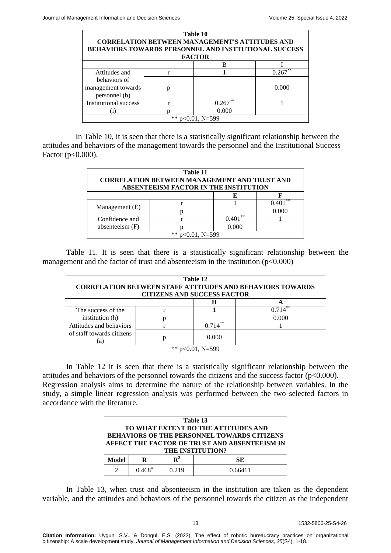| Table 10<br><b>CORRELATION BETWEEN MANAGEMENT'S ATTITUDES AND</b><br><b>BEHAVIORS TOWARDS PERSONNEL AND INSTTUTIONAL SUCCESS</b><br><b>FACTOR</b> |  |           |       |  |  |  |
|---------------------------------------------------------------------------------------------------------------------------------------------------|--|-----------|-------|--|--|--|
| в                                                                                                                                                 |  |           |       |  |  |  |
| Attitudes and                                                                                                                                     |  |           | 0 26  |  |  |  |
| behaviors of<br>management towards<br>personnel (b)                                                                                               |  |           | 0.000 |  |  |  |
| Institutional success                                                                                                                             |  | 0.267     |       |  |  |  |
| 0.000                                                                                                                                             |  |           |       |  |  |  |
|                                                                                                                                                   |  | $N = 599$ |       |  |  |  |

In Table 10, it is seen that there is a statistically significant relationship between the attitudes and behaviors of the management towards the personnel and the Institutional Success Factor (p<0.000).

| Table 11<br><b>CORRELATION BETWEEN MANAGEMENT AND TRUST AND</b><br>ABSENTEEISM FACTOR IN THE INSTITUTION |  |       |             |  |  |  |
|----------------------------------------------------------------------------------------------------------|--|-------|-------------|--|--|--|
|                                                                                                          |  |       |             |  |  |  |
|                                                                                                          |  |       | **<br>0.401 |  |  |  |
| Management (E)                                                                                           |  |       | 0.000       |  |  |  |
| Confidence and                                                                                           |  | 0.401 |             |  |  |  |
| absenteeism (F)                                                                                          |  | 0.000 |             |  |  |  |
| **<br>$p<0.01$ , N=599                                                                                   |  |       |             |  |  |  |

Table 11. It is seen that there is a statistically significant relationship between the management and the factor of trust and absenteeism in the institution  $(p<0.000)$ 

| Table 12<br><b>CORRELATION BETWEEN STAFF ATTITUDES AND BEHAVIORS TOWARDS</b><br><b>CITIZENS AND SUCCESS FACTOR</b> |   |       |       |  |
|--------------------------------------------------------------------------------------------------------------------|---|-------|-------|--|
|                                                                                                                    |   | н     |       |  |
| The success of the<br>institution (h)                                                                              |   |       | 0.714 |  |
|                                                                                                                    |   |       | 0.000 |  |
| Attitudes and behaviors<br>of staff towards citizens<br>(a)                                                        |   |       |       |  |
|                                                                                                                    | D | 0.000 |       |  |
| $p<0.01$ , N=599                                                                                                   |   |       |       |  |

In Table 12 it is seen that there is a statistically significant relationship between the attitudes and behaviors of the personnel towards the citizens and the success factor  $(p<0.000)$ . Regression analysis aims to determine the nature of the relationship between variables. In the study, a simple linear regression analysis was performed between the two selected factors in accordance with the literature.

| Table 13                                      |                 |             |         |  |
|-----------------------------------------------|-----------------|-------------|---------|--|
| TO WHAT EXTENT DO THE ATTITUDES AND           |                 |             |         |  |
| BEHAVIORS OF THE PERSONNEL TOWARDS CITIZENS   |                 |             |         |  |
| AFFECT THE FACTOR OF TRUST AND ABSENTEEISM IN |                 |             |         |  |
| THE INSTITUTION?                              |                 |             |         |  |
| Model                                         | R               | ${\bf R}^2$ | SE.     |  |
|                                               | $0.468^{\rm a}$ | 0.219       | 0.66411 |  |

In Table 13, when trust and absenteeism in the institution are taken as the dependent variable, and the attitudes and behaviors of the personnel towards the citizen as the independent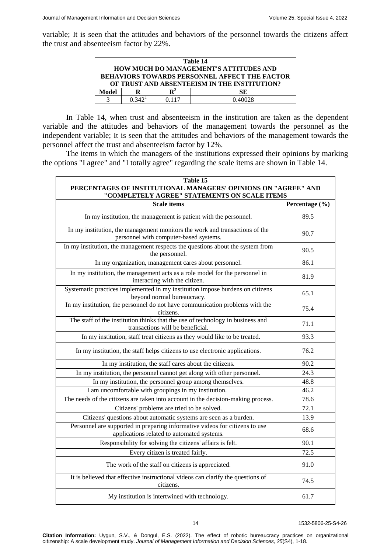variable; It is seen that the attitudes and behaviors of the personnel towards the citizens affect the trust and absenteeism factor by 22%.

| Table 14                                             |                 |       |         |  |
|------------------------------------------------------|-----------------|-------|---------|--|
| <b>HOW MUCH DO MANAGEMENT'S ATTITUDES AND</b>        |                 |       |         |  |
| <b>BEHAVIORS TOWARDS PERSONNEL AFFECT THE FACTOR</b> |                 |       |         |  |
| OF TRUST AND ABSENTEEISM IN THE INSTITUTION?         |                 |       |         |  |
| Model                                                | R               |       | SЕ      |  |
|                                                      | $0.342^{\rm a}$ | በ 117 | 0.40028 |  |

In Table 14, when trust and absenteeism in the institution are taken as the dependent variable and the attitudes and behaviors of the management towards the personnel as the independent variable; It is seen that the attitudes and behaviors of the management towards the personnel affect the trust and absenteeism factor by 12%.

The items in which the managers of the institutions expressed their opinions by marking the options "I agree" and "I totally agree" regarding the scale items are shown in Table 14.

| Table 15<br>PERCENTAGES OF INSTITUTIONAL MANAGERS' OPINIONS ON "AGREE" AND<br>"COMPLETELY AGREE" STATEMENTS ON SCALE ITEMS |                |  |
|----------------------------------------------------------------------------------------------------------------------------|----------------|--|
| <b>Scale items</b>                                                                                                         | Percentage (%) |  |
| In my institution, the management is patient with the personnel.                                                           | 89.5           |  |
| In my institution, the management monitors the work and transactions of the<br>personnel with computer-based systems.      | 90.7           |  |
| In my institution, the management respects the questions about the system from<br>the personnel.                           | 90.5           |  |
| In my organization, management cares about personnel.                                                                      | 86.1           |  |
| In my institution, the management acts as a role model for the personnel in<br>interacting with the citizen.               | 81.9           |  |
| Systematic practices implemented in my institution impose burdens on citizens<br>beyond normal bureaucracy.                | 65.1           |  |
| In my institution, the personnel do not have communication problems with the<br>citizens.                                  | 75.4           |  |
| The staff of the institution thinks that the use of technology in business and<br>transactions will be beneficial.         | 71.1           |  |
| In my institution, staff treat citizens as they would like to be treated.                                                  | 93.3           |  |
| In my institution, the staff helps citizens to use electronic applications.                                                | 76.2           |  |
| In my institution, the staff cares about the citizens.                                                                     | 90.2           |  |
| In my institution, the personnel cannot get along with other personnel.                                                    | 24.3           |  |
| In my institution, the personnel group among themselves.                                                                   | 48.8           |  |
| I am uncomfortable with groupings in my institution.                                                                       | 46.2           |  |
| The needs of the citizens are taken into account in the decision-making process.                                           | 78.6           |  |
| Citizens' problems are tried to be solved.                                                                                 | 72.1           |  |
| Citizens' questions about automatic systems are seen as a burden.                                                          | 13.9           |  |
| Personnel are supported in preparing informative videos for citizens to use<br>applications related to automated systems.  | 68.6           |  |
| Responsibility for solving the citizens' affairs is felt.                                                                  | 90.1           |  |
| Every citizen is treated fairly.                                                                                           | 72.5           |  |
| The work of the staff on citizens is appreciated.                                                                          | 91.0           |  |
| It is believed that effective instructional videos can clarify the questions of<br>citizens.                               | 74.5           |  |
| My institution is intertwined with technology.                                                                             | 61.7           |  |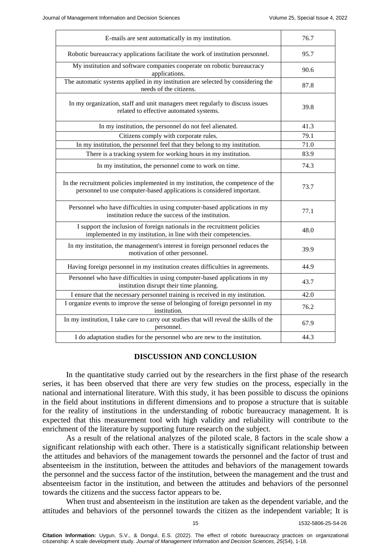| E-mails are sent automatically in my institution.                                                                                                         | 76.7 |
|-----------------------------------------------------------------------------------------------------------------------------------------------------------|------|
| Robotic bureaucracy applications facilitate the work of institution personnel.                                                                            | 95.7 |
| My institution and software companies cooperate on robotic bureaucracy<br>applications.                                                                   | 90.6 |
| The automatic systems applied in my institution are selected by considering the<br>needs of the citizens.                                                 | 87.8 |
| In my organization, staff and unit managers meet regularly to discuss issues<br>related to effective automated systems.                                   | 39.8 |
| In my institution, the personnel do not feel alienated.                                                                                                   | 41.3 |
| Citizens comply with corporate rules.                                                                                                                     | 79.1 |
| In my institution, the personnel feel that they belong to my institution.                                                                                 | 71.0 |
| There is a tracking system for working hours in my institution.                                                                                           | 83.9 |
| In my institution, the personnel come to work on time.                                                                                                    | 74.3 |
| In the recruitment policies implemented in my institution, the competence of the<br>personnel to use computer-based applications is considered important. | 73.7 |
| Personnel who have difficulties in using computer-based applications in my<br>institution reduce the success of the institution.                          | 77.1 |
| I support the inclusion of foreign nationals in the recruitment policies<br>implemented in my institution, in line with their competencies.               | 48.0 |
| In my institution, the management's interest in foreign personnel reduces the<br>motivation of other personnel.                                           | 39.9 |
| Having foreign personnel in my institution creates difficulties in agreements.                                                                            | 44.9 |
| Personnel who have difficulties in using computer-based applications in my<br>institution disrupt their time planning.                                    | 43.7 |
| I ensure that the necessary personnel training is received in my institution.                                                                             | 42.0 |
| I organize events to improve the sense of belonging of foreign personnel in my<br>institution.                                                            | 76.2 |
| In my institution, I take care to carry out studies that will reveal the skills of the<br>personnel.                                                      | 67.9 |
| I do adaptation studies for the personnel who are new to the institution.                                                                                 | 44.3 |
|                                                                                                                                                           |      |

### **DISCUSSION AND CONCLUSION**

In the quantitative study carried out by the researchers in the first phase of the research series, it has been observed that there are very few studies on the process, especially in the national and international literature. With this study, it has been possible to discuss the opinions in the field about institutions in different dimensions and to propose a structure that is suitable for the reality of institutions in the understanding of robotic bureaucracy management. It is expected that this measurement tool with high validity and reliability will contribute to the enrichment of the literature by supporting future research on the subject.

As a result of the relational analyzes of the piloted scale, 8 factors in the scale show a significant relationship with each other. There is a statistically significant relationship between the attitudes and behaviors of the management towards the personnel and the factor of trust and absenteeism in the institution, between the attitudes and behaviors of the management towards the personnel and the success factor of the institution, between the management and the trust and absenteeism factor in the institution, and between the attitudes and behaviors of the personnel towards the citizens and the success factor appears to be.

When trust and absenteeism in the institution are taken as the dependent variable, and the attitudes and behaviors of the personnel towards the citizen as the independent variable; It is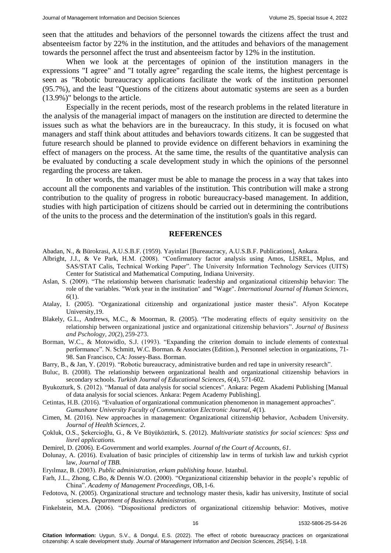seen that the attitudes and behaviors of the personnel towards the citizens affect the trust and absenteeism factor by 22% in the institution, and the attitudes and behaviors of the management towards the personnel affect the trust and absenteeism factor by 12% in the institution.

When we look at the percentages of opinion of the institution managers in the expressions "I agree" and "I totally agree" regarding the scale items, the highest percentage is seen as "Robotic bureaucracy applications facilitate the work of the institution personnel (95.7%), and the least "Questions of the citizens about automatic systems are seen as a burden (13.9%)" belongs to the article.

Especially in the recent periods, most of the research problems in the related literature in the analysis of the managerial impact of managers on the institution are directed to determine the issues such as what the behaviors are in the bureaucracy. In this study, it is focused on what managers and staff think about attitudes and behaviors towards citizens. It can be suggested that future research should be planned to provide evidence on different behaviors in examining the effect of managers on the process. At the same time, the results of the quantitative analysis can be evaluated by conducting a scale development study in which the opinions of the personnel regarding the process are taken.

In other words, the manager must be able to manage the process in a way that takes into account all the components and variables of the institution. This contribution will make a strong contribution to the quality of progress in robotic bureaucracy-based management. In addition, studies with high participation of citizens should be carried out in determining the contributions of the units to the process and the determination of the institution's goals in this regard.

#### **REFERENCES**

Abadan, N., & Bürokrasi, A.U.S.B.F. (1959). Yayinlari [Bureaucracy, A.U.S.B.F. Publications], Ankara.

- Albright, J.J., & Ve Park, H.M. (2008). "Confirmatory factor analysis using Amos, LISREL, Mplus, and SAS/STAT Calis, Technical Working Paper". The University Information Technology Services (UITS) Center for Statistical and Mathematical Computing, Indiana University.
- Aslan, S. (2009). "The relationship between charismatic leadership and organizational citizenship behavior: The role of the variables. "Work year in the institution" and "Wage". *International Journal of Human Sciences, 6*(1).
- Atalay, I. (2005). "Organizational citizenship and organizational justice master thesis". Afyon Kocatepe University,19.
- Blakely, G.L., Andrews, M.C., & Moorman, R. (2005). "The moderating effects of equity sensitivity on the relationship between organizational justice and organizational citizenship behaviors". *Journal of Business and Pschology, 20*(2), 259-273.
- Borman, W.C., & Motowidlo, S.J. (1993). "Expanding the criterion domain to include elements of contextual performance". N. Schmitt, W.C. Borman. & Associates (Edition.), Personnel selection in organizations, 71- 98. San Francisco, CA: Jossey-Bass. Borman.
- Barry, B., & Jan, Y. (2019). "Robotic bureaucracy, administrative burden and red tape in university research".
- Buluc, B. (2008). The relationship between organizational health and organizational citizenship behaviors in secondary schools. *Turkish Journal of Educational Sciences, 6*(4), 571-602.
- Byukozturk, S. (2012). "Manual of data analysis for social sciences". Ankara: Pegem Akademi Publishing [Manual of data analysis for social sciences. Ankara: Pegem Academy Publishing].
- Cetintas, H.B. (2016). "Evaluation of organizational communication phenomenon in management approaches". *Gumushane University Faculty of Communication Electronic Journal, 4*(1).
- Cimen, M. (2016). New approaches in management: Organizational citizenship behavior, Acıbadem University. *Journal of Health Sciences, 2*.
- Çokluk, O.S., Şekercioğlu, G., & Ve Büyüköztürk, S. (2012). *Multivariate statistics for social sciences: Spss and lisrel applications.*

Demirel, D. (2006). E-Government and world examples. *Journal of the Court of Accounts, 61*.

Dolunay, A. (2016). Evaluation of basic principles of citizenship law in terms of turkish law and turkish cypriot law, *Journal of TBB.*

Eryılmaz, B. (2003). *Public administration, erkam publishing house*. Istanbul.

- Farh, J.L., Zhong, C.Bo, & Dennis W.O. (2000). "Organizational citizenship behavior in the people's republic of China". *Academy of Management Proceedings,* OB,1-6.
- Fedotova, N. (2005). Organizational structure and technology master thesis, kadir has university, Institute of social sciences. *Department of Business Administration.*
- Finkelstein, M.A. (2006). "Dispositional predictors of organizational citizenship behavior: Motives, motive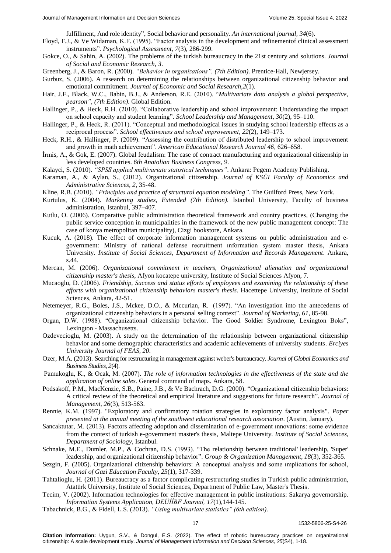fulfillment, And role identity", Social behavior and personality. *An international journal, 34*(6).

- Floyd, F.J., & Ve Widaman, K.F. (1995). "Factor analysis in the development and refinementof clinical assessment instruments". *Psychological Assessment, 7*(3), 286-299.
- Gokce, O., & Sahin, A. (2002). The problems of the turkish bureaucracy in the 21st century and solutions. *Journal of Social and Economic Research, 3*.
- Greenberg, J., & Baron, R. (2000). *"Behavior in organizations", (7th Edition)*. Prentice-Hall, Newjersey.
- Gurbuz, S. (2006). A research on determining the relationships between organizational citizenship behavior and emotional commitment. *Journal of Economic and Social Research,2*(1).
- Hair, J.F., Black, W.C., Babin, B.J., & Anderson, R.E. (2010). "*Multivariate data analysis a global perspective, pearson", (7th Edition)*. Global Edition.
- Hallinger, P., & Heck, R.H. (2010). "Collaborative leadership and school improvement: Understanding the impact on school capacity and student learning". *School Leadership and Management, 30*(2), 95–110.
- Hallinger, P., & Heck, R. (2011). "Conceptual and methodological issues in studying school leadership effects as a reciprocal process". *School effectiveness and school ımprovement, 22*(2), 149–173.
- Heck, R.H., & Hallinger, P. (2009). "Assessing the contribution of distributed leadership to school improvement and growth in math achievement". *American Educational Research Journal 46*, 626–658.
- İrmis, A., & Gok, E. (2007). Global feudalism: The case of contract manufacturing and organizational citizenship in less developed countries. *6th Anatolian Business Congress, 9*.
- Kalayci, S. (2010). *"SPSS applied multivariate statistical techniques"*. Ankara: Pegem Academy Publishing.
- Karaman, A., & Aylan, S., (2012). Organizational citizenship. *Journal of KSÜI Faculty of Economics and Administrative Sciences, 2,* 35-48.
- Kline, R.B. (2010). *"Principles and practice of structural equation modeling".* The Guilford Press, New York.
- Kurtulus, K. (2004). *Marketing studies, Extended (7th Edition)*. Istanbul University, Faculty of business administration, Istanbul, 397–407.
- Kutlu, O. (2006). Comparative public administration theoretical framework and country practices, (Changing the public service conception in municipalities in the framework of the new public management concept: The case of konya metropolitan municipality), Cizgi bookstore, Ankara.
- Kucuk, A. (2018). The effect of corporate information management systems on public administration and egovernment: Ministry of national defense recruitment ınformation system master thesis, Ankara University. *Institute of Social Sciences, Department of Information and Records Management.* Ankara, s.44.
- Mercan, M. (2006). *Organizational commitment in teachers, Organizational alienation and organizational citizenship master's thesis*, Afyon kocatepe university, Institute of Social Sciences Afyon, 7.
- Mucaoglu, D. (2006). *Friendship, Success and status efforts of employees and examining the relationship of these efforts with organizational citizenship behaviors master's thesis*. Hacettepe University, Institute of Social Sciences, Ankara, 42-51.
- Netemeyer, R.G., Boles, J.S., Mckee, D.O., & Mccurian, R. (1997). "An investigation into the antecedents of organizational citizenship behaviors in a personal selling context". *Journal of Marketing, 61,* 85-98.
- Organ, D.W. (1988). "Organizational citizenship behavior. The Good Soldier Syndrome, Lexington Boks", Lexington - Massachusetts.
- Ozdevecioglu, M. (2003). A study on the determination of the relationship between organizational citizenship behavior and some demographic characteristics and academic achievements of university students. *Erciyes University Journal of FEAS, 20*.
- Ozer, M.A. (2013). Searching for restructuring in management against weber's bureaucracy. *Journal of Global Economics and Business Studies, 2*(4).
- Pamukoglu, K., & Ocak, M. (2007). *The role of information technologies in the effectiveness of the state and the application of online sales.* General command of maps. Ankara, 58.
- Podsakoff, P.M., MacKenzie, S.B., Paine, J.B., & Ve Bachrach, D.G. (2000). "Organizational citizenship behaviors: A critical review of the theoretical and empirical literature and suggestions for future research". *Journal of Management, 26*(3), 513-563.
- Rennie, K.M. (1997). "Exploratory and confirmatory rotation strategies in exploratory factor analysis". *Paper presented at the annual meeting of the southwest educational research association*. (Austin, January).
- Sancaktutar, M. (2013). Factors affecting adoption and dissemination of e-government ınnovations: some evidence from the context of turkish e-government master's thesis, Maltepe University. *Institute of Social Sciences, Department of Sociology*, Istanbul.
- Schnake, M.E., Dumler, M.P., & Cochran, D.S. (1993). "The relationship between traditional' leadership, 'Super' leadership, and organizational citizenship behavior". *Group & Organization Management, 18*(3), 352-365.
- Sezgin, F. (2005). Organizational citizenship behaviors: A conceptual analysis and some ımplications for school, *Journal of Gazi Education Faculty, 25*(1), 317-339.
- Tahtalioglu, H. (2011). Bureaucracy as a factor complicating restructuring studies in Turkish public administration, Atatürk University, Institute of Social Sciences, Department of Public Law, Master's Thesis.
- Tecim, V. (2002). Information technologies for effective management in public institutions: Sakarya governorship. *Information Systems Application, DEÜİİBF Journal, 17*(1),144-145.
- Tabachnick, B.G., & Fidell, L.S. (2013). *"Using multivariate statistics" (6th edition)*.

#### 17 1532-5806-25-S4-26